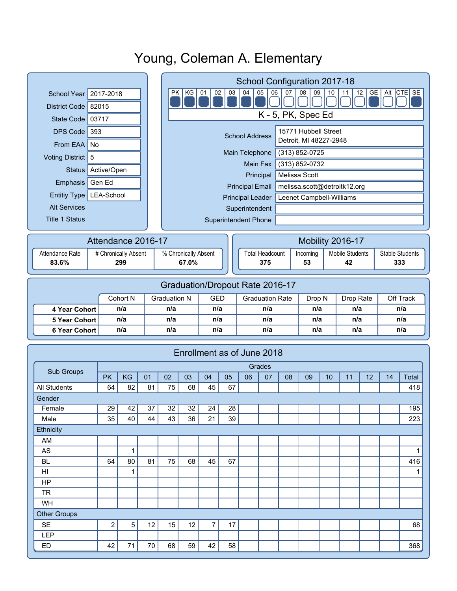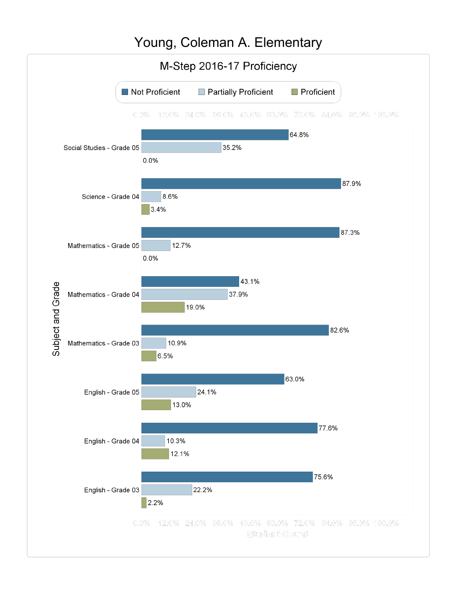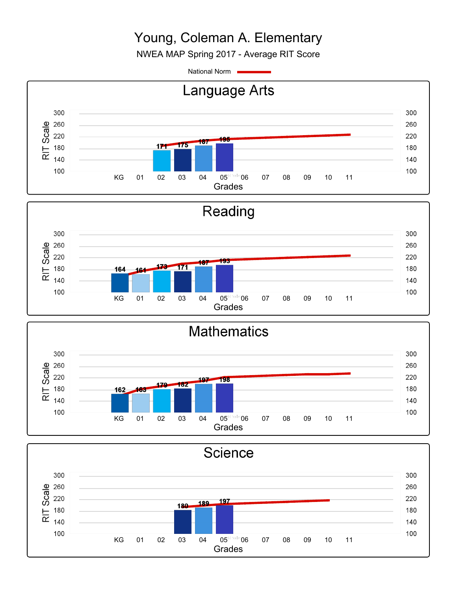NWEA MAP Spring 2017 - Average RIT Score

National Norm